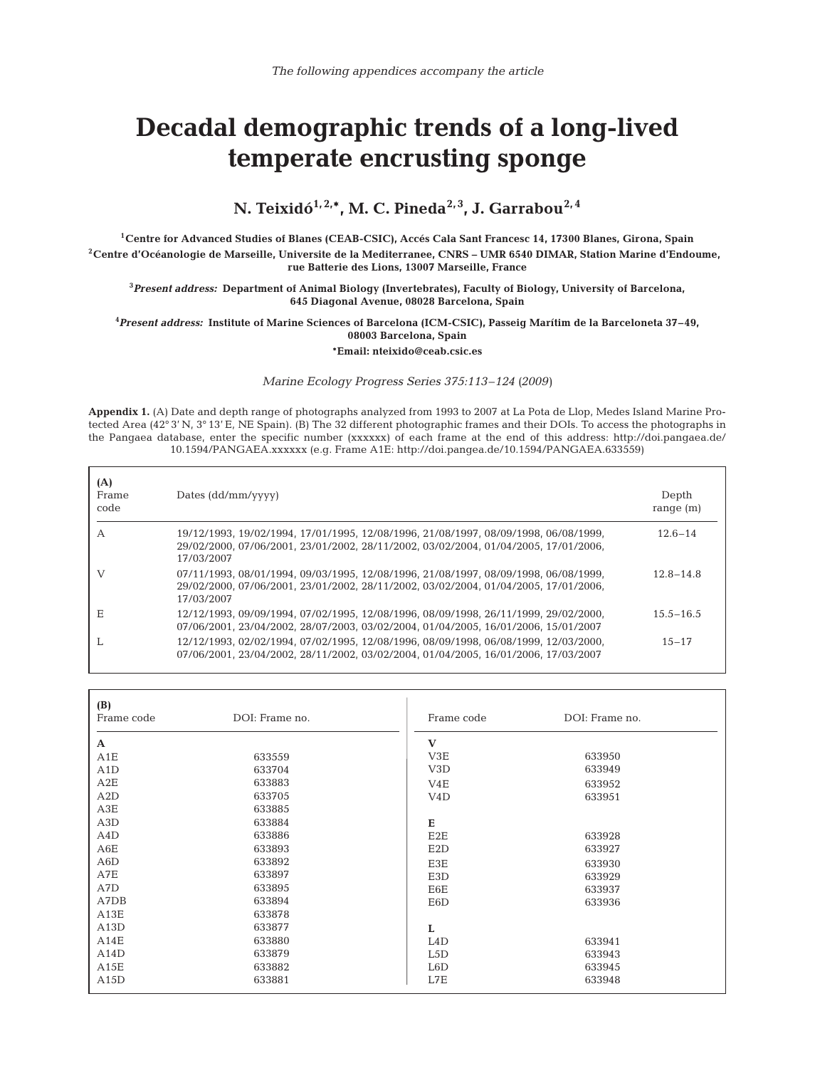## **Decadal demographic trends of a long-lived temperate encrusting sponge**

## N. Teixidó<sup>1, 2,\*</sup>, M. C. Pineda<sup>2, 3</sup>, J. Garrabou<sup>2, 4</sup>

**1Centre for Advanced Studies of Blanes (CEAB-CSIC), Accés Cala Sant Francesc 14, 17300 Blanes, Girona, Spain 2Centre d'Océanologie de Marseille, Universite de la Mediterranee, CNRS – UMR 6540 DIMAR, Station Marine d'Endoume, rue Batterie des Lions, 13007 Marseille, France**

**3** *Present address:* **Department of Animal Biology (Invertebrates), Faculty of Biology, University of Barcelona, 645 Diagonal Avenue, 08028 Barcelona, Spain**

**4** *Present address:* **Institute of Marine Sciences of Barcelona (ICM-CSIC), Passeig Marítim de la Barceloneta 37–49, 08003 Barcelona, Spain**

**\*Email: nteixido@ceab.csic.es**

## *Marine Ecology Progress Series 375:113–124 (2009)*

**Appendix 1.** (A) Date and depth range of photographs analyzed from 1993 to 2007 at La Pota de Llop, Medes Island Marine Protected Area (42° 3' N, 3° 13' E, NE Spain). (B) The 32 different photographic frames and their DOIs. To access the photographs in the Pangaea database, enter the specific number (xxxxxx) of each frame at the end of this address: http://doi.pangaea.de/ 10.1594/PANGAEA.xxxxxx (e.g. Frame A1E: http://doi.pangea.de/10.1594/PANGAEA.633559)

| (A)<br>Frame<br>code | Dates (dd/mm/yyyy)                                                                                                                                                                       | Depth<br>range $(m)$ |
|----------------------|------------------------------------------------------------------------------------------------------------------------------------------------------------------------------------------|----------------------|
| A                    | 19/12/1993, 19/02/1994, 17/01/1995, 12/08/1996, 21/08/1997, 08/09/1998, 06/08/1999,<br>29/02/2000, 07/06/2001, 23/01/2002, 28/11/2002, 03/02/2004, 01/04/2005, 17/01/2006,<br>17/03/2007 | $12.6 - 14$          |
| V                    | 07/11/1993, 08/01/1994, 09/03/1995, 12/08/1996, 21/08/1997, 08/09/1998, 06/08/1999,<br>29/02/2000, 07/06/2001, 23/01/2002, 28/11/2002, 03/02/2004, 01/04/2005, 17/01/2006,<br>17/03/2007 | $12.8 - 14.8$        |
| Е                    | 12/12/1993, 09/09/1994, 07/02/1995, 12/08/1996, 08/09/1998, 26/11/1999, 29/02/2000,<br>07/06/2001.23/04/2002.28/07/2003.03/02/2004.01/04/2005.16/01/2006.15/01/2007                      | $15.5 - 16.5$        |
|                      | 12/12/1993.02/02/1994.07/02/1995.12/08/1996.08/09/1998.06/08/1999.12/03/2000.<br>07/06/2001, 23/04/2002, 28/11/2002, 03/02/2004, 01/04/2005, 16/01/2006, 17/03/2007                      | $15 - 17$            |

| (B)<br>Frame code | DOI: Frame no. | Frame code       | DOI: Frame no. |  |
|-------------------|----------------|------------------|----------------|--|
| $\mathbf A$       |                | $\mathbf{V}$     |                |  |
| A1E               | 633559         | V3E              | 633950         |  |
| A1D               | 633704         | V <sub>3</sub> D | 633949         |  |
| A2E               | 633883         | V4E              | 633952         |  |
| A2D               | 633705         | V <sub>4</sub> D | 633951         |  |
| A3E               | 633885         |                  |                |  |
| A3D               | 633884         | E                |                |  |
| A4D               | 633886         | E <sub>2</sub> E | 633928         |  |
| A6E               | 633893         | E2D              | 633927         |  |
| A6D               | 633892         | E3E              | 633930         |  |
| A7E               | 633897         | E3D              | 633929         |  |
| A7D               | 633895         | E6E              | 633937         |  |
| A7DB              | 633894         | E6D              | 633936         |  |
| A13E              | 633878         |                  |                |  |
| A13D              | 633877         | L                |                |  |
| A14E              | 633880         | L4D              | 633941         |  |
| A14D              | 633879         | L5D              | 633943         |  |
| A15E              | 633882         | L6D              | 633945         |  |
| A15D              | 633881         | L7E              | 633948         |  |